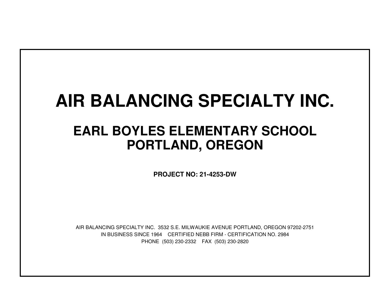# **AIR BALANCING SPECIALTY INC.**

## **EARL BOYLES ELEMENTARY SCHOOLPORTLAND, OREGON**

**PROJECT NO: 21-4253-DW**

IN BUSINESS SINCE 1964 CERTIFIED NEBB FIRM - CERTIFICATION NO. 2984PHONE (503) 230-2332 FAX (503) 230-2820AIR BALANCING SPECIALTY INC. 3532 S.E. MILWAUKIE AVENUE PORTLAND, OREGON 97202-2751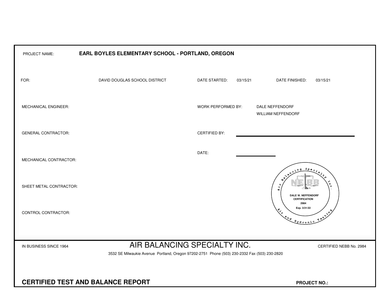| EARL BOYLES ELEMENTARY SCHOOL - PORTLAND, OREGON<br>PROJECT NAME: |                                                                                              |                           |                                                                                                                                                                                                                                                                                                                                                                                                              |  |  |  |  |  |  |  |  |  |  |
|-------------------------------------------------------------------|----------------------------------------------------------------------------------------------|---------------------------|--------------------------------------------------------------------------------------------------------------------------------------------------------------------------------------------------------------------------------------------------------------------------------------------------------------------------------------------------------------------------------------------------------------|--|--|--|--|--|--|--|--|--|--|
| FOR:                                                              | DAVID DOUGLAS SCHOOL DISTRICT                                                                | DATE STARTED:<br>03/15/21 | 03/15/21<br>DATE FINISHED:                                                                                                                                                                                                                                                                                                                                                                                   |  |  |  |  |  |  |  |  |  |  |
| MECHANICAL ENGINEER:                                              |                                                                                              | WORK PERFORMED BY:        | DALE NEFFENDORF<br>WILLIAM NEFFENDORF                                                                                                                                                                                                                                                                                                                                                                        |  |  |  |  |  |  |  |  |  |  |
| <b>GENERAL CONTRACTOR:</b>                                        |                                                                                              | <b>CERTIFIED BY:</b>      |                                                                                                                                                                                                                                                                                                                                                                                                              |  |  |  |  |  |  |  |  |  |  |
| MECHANICAL CONTRACTOR:                                            |                                                                                              | DATE:                     | $S_{PQ}$                                                                                                                                                                                                                                                                                                                                                                                                     |  |  |  |  |  |  |  |  |  |  |
| SHEET METAL CONTRACTOR:                                           |                                                                                              |                           | $\Omega$<br>$\overline{\mathcal{A}}$<br>K.<br>DALE W. NEFFENDORF<br><b>CERTIFICATION</b>                                                                                                                                                                                                                                                                                                                     |  |  |  |  |  |  |  |  |  |  |
| CONTROL CONTRACTOR:                                               |                                                                                              |                           | 2984<br>Exp. 3/31/22<br>$x^2$<br>$\begin{picture}(180,10) \put(0,0){\vector(1,0){10}} \put(15,0){\vector(1,0){10}} \put(15,0){\vector(1,0){10}} \put(15,0){\vector(1,0){10}} \put(15,0){\vector(1,0){10}} \put(15,0){\vector(1,0){10}} \put(15,0){\vector(1,0){10}} \put(15,0){\vector(1,0){10}} \put(15,0){\vector(1,0){10}} \put(15,0){\vector(1,0){10}} \put(15,0){\vector(1,0){10}} \put(15,0){\vector($ |  |  |  |  |  |  |  |  |  |  |
| IN BUSINESS SINCE 1964                                            | AIR BALANCING SPECIALTY INC.                                                                 |                           |                                                                                                                                                                                                                                                                                                                                                                                                              |  |  |  |  |  |  |  |  |  |  |
|                                                                   | 3532 SE Milwaukie Avenue Portland, Oregon 97202-2751 Phone (503) 230-2332 Fax (503) 230-2820 |                           |                                                                                                                                                                                                                                                                                                                                                                                                              |  |  |  |  |  |  |  |  |  |  |
| <b>CERTIFIED TEST AND BALANCE REPORT</b><br><b>PROJECT NO.:</b>   |                                                                                              |                           |                                                                                                                                                                                                                                                                                                                                                                                                              |  |  |  |  |  |  |  |  |  |  |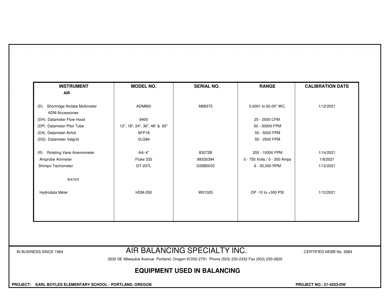| Shortridge Airdata Multimeter<br>(D)<br><b>ADM Accessories</b> | ADM860                        | M98375   | 0.0001 to 60.00" WC.         | 1/12/2021 |
|----------------------------------------------------------------|-------------------------------|----------|------------------------------|-----------|
| (DH) Datameter Flow Hood                                       | 8400                          |          | 25 - 2500 CFM                |           |
| (DP) Datameter Pitot Tube                                      | 12", 18", 24", 36", 48" & 60" |          | 50 - 30000 FPM               |           |
| (DA) Datameter Airfoil                                         | AFP18                         |          | 50 - 5000 FPM                |           |
| (DG) Datameter Velgrid                                         | VLG84                         |          | 50 - 2500 FPM                |           |
| <b>Rotating Vane Anemometer</b><br>(R)                         | A4/-4"                        | 83072B   | 200 - 10000 FPM              | 1/14/2021 |
| Amprobe Ammeter                                                | Fluke 335                     | 99330394 | 0 - 750 Volts / 0 - 300 Amps | 1/8/2021  |
| Shimpo Tachometer                                              | DT-207L                       | D26B0033 | 6 - 30,000 RPM               | 1/12/2021 |
| WATER                                                          |                               |          |                              |           |
| Hydrodata Meter                                                | <b>HDM-250</b>                | W01025   | DP -10 to +300 PSI           | 1/12/2021 |
|                                                                |                               |          |                              |           |
|                                                                |                               |          |                              |           |

#### IN BUSINESS SINCE 1964 **AIR BALANCING SPECIALTY INC.** CERTIFIED NEBB No. 2984

3532 SE Milwaukie Avenue Portland, Oregon 97202-2751 Phone (503) 230-2332 Fax (503) 230-2820

### **EQUIPMENT USED IN BALANCING**

 **PROJECT: EARL BOYLES ELEMENTARY SCHOOL - PORTLAND, OREGON PROJECT NO.: 21-4253-DW**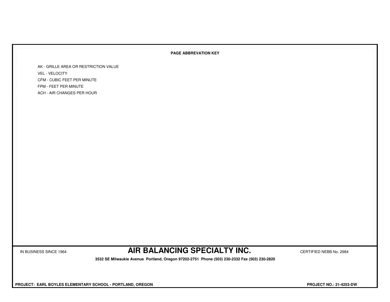#### **PAGE ABBREVATION KEY**

AK - GRILLE AREA OR RESTRICTION VALUEVEL - VELOCITY CFM - CUBIC FEET PER MINUTEFPM - FEET PER MINUTEACH - AIR CHANGES PER HOUR

IN BUSINESS SINCE 1964 **AIR BALANCING SPECIALTY INC.** CERTIFIED NEBB No. 2984

 **3532 SE Milwaukie Avenue Portland, Oregon 97202-2751 Phone (503) 230-2332 Fax (503) 230-2820**

 **PROJECT: EARL BOYLES ELEMENTARY SCHOOL - PORTLAND, OREGON PROJECT NO.: 21-4253-DW**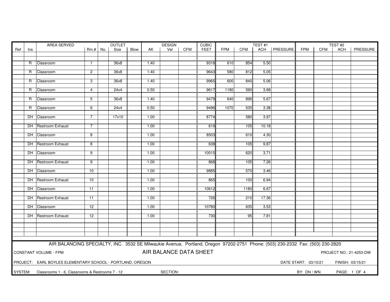|     | AREA SERVED<br><b>OUTLET</b> |                                                                                                                               |                 |  |       |      |      | <b>DESIGN</b>          |            | <b>CUBIC</b> |      |                  | TEST#1 | TEST#2         |                      |     |                  |                         |
|-----|------------------------------|-------------------------------------------------------------------------------------------------------------------------------|-----------------|--|-------|------|------|------------------------|------------|--------------|------|------------------|--------|----------------|----------------------|-----|------------------|-------------------------|
| Ref | Ins                          |                                                                                                                               | $Rm.+No.$       |  | Size  | Blow | AK   | Vel                    | <b>CFM</b> | <b>FEET</b>  | FPM  | CFM              |        | ACH   PRESSURE | <b>FPM</b>           | CFM | ACH              | PRESSURE                |
|     |                              |                                                                                                                               |                 |  |       |      |      |                        |            |              |      |                  |        |                |                      |     |                  |                         |
|     |                              |                                                                                                                               |                 |  |       |      |      |                        |            |              |      |                  |        |                |                      |     |                  |                         |
|     | R                            | Classroom                                                                                                                     | $\mathbf{1}$    |  | 36x8  |      | 1.40 |                        |            | 9318         | 610  | 854              | 5.50   |                |                      |     |                  |                         |
|     |                              |                                                                                                                               | $\overline{2}$  |  |       |      |      |                        |            | 9643         | 580  |                  |        |                |                      |     |                  |                         |
|     | R.                           | Classroom                                                                                                                     |                 |  | 36x8  |      | 1.40 |                        |            |              |      | 812              | 5.05   |                |                      |     |                  |                         |
|     | R.                           | Classroom                                                                                                                     | 3               |  | 36x8  |      | 1.40 |                        |            | 9965         | 600  | 840              | 5.06   |                |                      |     |                  |                         |
|     |                              |                                                                                                                               |                 |  |       |      |      |                        |            |              |      |                  |        |                |                      |     |                  |                         |
|     | R.                           | Classroom                                                                                                                     | $\overline{4}$  |  | 24x4  |      | 0.50 |                        |            | 9617         | 1180 | 590              | 3.68   |                |                      |     |                  |                         |
|     |                              |                                                                                                                               |                 |  |       |      |      |                        |            |              |      |                  |        |                |                      |     |                  |                         |
|     |                              | R Classroom                                                                                                                   | 5               |  | 36x8  |      | 1.40 |                        |            | 9479         | 640  | 896              | 5.67   |                |                      |     |                  |                         |
|     |                              |                                                                                                                               |                 |  |       |      |      |                        |            |              |      |                  |        |                |                      |     |                  |                         |
|     |                              | R Classroom                                                                                                                   | 6               |  | 24x4  |      | 0.50 |                        |            | 9496         | 1070 | 535              | 3.38   |                |                      |     |                  |                         |
|     |                              |                                                                                                                               |                 |  |       |      |      |                        |            |              |      |                  |        |                |                      |     |                  |                         |
|     |                              | DH Classroom                                                                                                                  | $\overline{7}$  |  | 17x10 |      | 1.00 |                        |            | 8774         |      | 580              | 3.97   |                |                      |     |                  |                         |
|     |                              | <b>DH</b> Restroom Exhaust                                                                                                    | $\overline{7}$  |  |       |      | 1.00 |                        |            | 619          |      | 105              | 10.18  |                |                      |     |                  |                         |
|     |                              |                                                                                                                               |                 |  |       |      |      |                        |            |              |      |                  |        |                |                      |     |                  |                         |
|     |                              | DH Classroom                                                                                                                  | 8               |  |       |      | 1.00 |                        |            | 8503         |      | 610              | 4.30   |                |                      |     |                  |                         |
|     |                              |                                                                                                                               |                 |  |       |      |      |                        |            |              |      |                  |        |                |                      |     |                  |                         |
|     |                              | DH Restroom Exhaust                                                                                                           | 8               |  |       |      | 1.00 |                        |            | 638          |      | 105              | 9.87   |                |                      |     |                  |                         |
|     |                              |                                                                                                                               |                 |  |       |      |      |                        |            |              |      |                  |        |                |                      |     |                  |                         |
|     |                              | DH Classroom                                                                                                                  | 9               |  |       |      | 1.00 |                        |            | 10015        |      | 620              | 3.71   |                |                      |     |                  |                         |
|     |                              |                                                                                                                               |                 |  |       |      |      |                        |            |              |      |                  |        |                |                      |     |                  |                         |
|     |                              | DH Restroom Exhaust                                                                                                           | 9               |  |       |      | 1.00 |                        |            | 868          |      | 105              | 7.26   |                |                      |     |                  |                         |
|     |                              |                                                                                                                               |                 |  |       |      |      |                        |            |              |      |                  |        |                |                      |     |                  |                         |
|     |                              | DH Classroom                                                                                                                  | 10              |  |       |      | 1.00 |                        |            | 9885         |      | 570              | 3.46   |                |                      |     |                  |                         |
|     |                              |                                                                                                                               | 10              |  |       |      | 1.00 |                        |            |              |      | 100              |        |                |                      |     |                  |                         |
|     |                              | DH Restroom Exhaust                                                                                                           |                 |  |       |      |      |                        |            | 865          |      |                  | 6.94   |                |                      |     |                  |                         |
|     |                              | DH Classroom                                                                                                                  | $\overline{11}$ |  |       |      | 1.00 |                        |            | 10612        |      | 1180             | 6.67   |                |                      |     |                  |                         |
|     |                              |                                                                                                                               |                 |  |       |      |      |                        |            |              |      |                  |        |                |                      |     |                  |                         |
|     |                              | DH Restroom Exhaust                                                                                                           | 11              |  |       |      | 1.00 |                        |            | 726          |      | $\overline{210}$ | 17.36  |                |                      |     |                  |                         |
|     |                              |                                                                                                                               |                 |  |       |      |      |                        |            |              |      |                  |        |                |                      |     |                  |                         |
|     |                              | DH Classroom                                                                                                                  | 12              |  |       |      | 1.00 |                        |            | 10780        |      | 635              | 3.53   |                |                      |     |                  |                         |
|     |                              |                                                                                                                               |                 |  |       |      |      |                        |            |              |      |                  |        |                |                      |     |                  |                         |
|     |                              | DH Restroom Exhaust                                                                                                           | 12              |  |       |      | 1.00 |                        |            | 730          |      | 95               | 7.81   |                |                      |     |                  |                         |
|     |                              |                                                                                                                               |                 |  |       |      |      |                        |            |              |      |                  |        |                |                      |     |                  |                         |
|     |                              |                                                                                                                               |                 |  |       |      |      |                        |            |              |      |                  |        |                |                      |     |                  |                         |
|     |                              |                                                                                                                               |                 |  |       |      |      |                        |            |              |      |                  |        |                |                      |     |                  |                         |
|     |                              |                                                                                                                               |                 |  |       |      |      |                        |            |              |      |                  |        |                |                      |     |                  |                         |
|     |                              |                                                                                                                               |                 |  |       |      |      |                        |            |              |      |                  |        |                |                      |     |                  |                         |
|     |                              | AIR BALANCING SPECIALTY, INC. 3532 SE Milwaukie Avenue, Portland, Oregon 97202-2751 Phone: (503) 230-2332 Fax: (503) 230-2820 |                 |  |       |      |      |                        |            |              |      |                  |        |                |                      |     |                  |                         |
|     |                              | CONSTANT VOLUME - FPM                                                                                                         |                 |  |       |      |      | AIR BALANCE DATA SHEET |            |              |      |                  |        |                |                      |     |                  | PROJECT NO.: 21-4253-DW |
|     |                              |                                                                                                                               |                 |  |       |      |      |                        |            |              |      |                  |        |                |                      |     |                  |                         |
|     |                              | PROJECT: EARL BOYLES ELEMENTARY SCHOOL - PORTLAND, OREGON                                                                     |                 |  |       |      |      |                        |            |              |      |                  |        |                | DATE START: 03/15/21 |     | FINISH: 03/15/21 |                         |
|     |                              |                                                                                                                               |                 |  |       |      |      |                        |            |              |      |                  |        |                |                      |     |                  |                         |
|     |                              | SYSTEM: Classrooms 1 - 6, Classrooms & Restrooms 7 - 12                                                                       |                 |  |       |      |      | SECTION:               |            |              |      |                  |        |                | BY: DN / WN          |     |                  | PAGE: 1 OF 4            |
|     |                              |                                                                                                                               |                 |  |       |      |      |                        |            |              |      |                  |        |                |                      |     |                  |                         |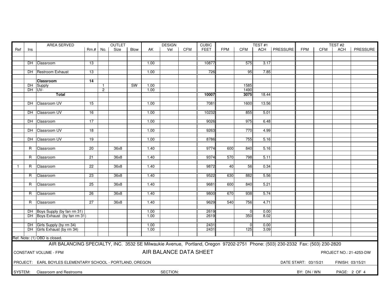|              |        | AREA SERVED                                                                                                                   | <b>OUTLET</b>   |                |      |           | <b>DESIGN</b> |                        | <b>CUBIC</b> |             |            | TEST#1         |       | TEST#2         |                      |     |                  |                         |
|--------------|--------|-------------------------------------------------------------------------------------------------------------------------------|-----------------|----------------|------|-----------|---------------|------------------------|--------------|-------------|------------|----------------|-------|----------------|----------------------|-----|------------------|-------------------------|
| Ref          | Ins    |                                                                                                                               | $Rm.+$ No.      |                | Size | Blow      | AK            | Vel                    | <b>CFM</b>   | <b>FEET</b> | <b>FPM</b> | <b>CFM</b>     |       | ACH   PRESSURE | <b>FPM</b>           | CFM | ACH              | PRESSURE                |
|              |        |                                                                                                                               |                 |                |      |           |               |                        |              |             |            |                |       |                |                      |     |                  |                         |
|              |        |                                                                                                                               |                 |                |      |           |               |                        |              |             |            |                |       |                |                      |     |                  |                         |
|              |        | DH Classroom                                                                                                                  | 13              |                |      |           | 1.00          |                        |              | 10877       |            | 575            | 3.17  |                |                      |     |                  |                         |
|              |        |                                                                                                                               |                 |                |      |           |               |                        |              |             |            |                |       |                |                      |     |                  |                         |
|              |        | DH Restroom Exhaust                                                                                                           | 13              |                |      |           | 1.00          |                        |              | 726         |            | 95             | 7.85  |                |                      |     |                  |                         |
|              |        |                                                                                                                               |                 |                |      |           |               |                        |              |             |            |                |       |                |                      |     |                  |                         |
|              |        | <b>Classroom</b>                                                                                                              | 14              |                |      |           |               |                        |              |             |            |                |       |                |                      |     |                  |                         |
|              |        | DH Supply                                                                                                                     |                 | $\overline{1}$ |      | <b>SW</b> | 1.00          |                        |              |             |            | 1585           |       |                |                      |     |                  |                         |
|              | DH UV- |                                                                                                                               |                 | $\overline{2}$ |      |           | 1.00          |                        |              |             |            | 1490           |       |                |                      |     |                  |                         |
|              |        | Total                                                                                                                         |                 |                |      |           |               |                        |              | 10007       |            | 3075           | 18.44 |                |                      |     |                  |                         |
|              |        |                                                                                                                               |                 |                |      |           |               |                        |              |             |            |                |       |                |                      |     |                  |                         |
|              |        | DH Classroom UV                                                                                                               | 15              |                |      |           | 1.00          |                        |              | 7081        |            | 1600           | 13.56 |                |                      |     |                  |                         |
|              |        |                                                                                                                               |                 |                |      |           |               |                        |              |             |            |                |       |                |                      |     |                  |                         |
|              |        | DH Classroom UV                                                                                                               | 16              |                |      |           | 1.00          |                        |              | 10232       |            | 855            | 5.01  |                |                      |     |                  |                         |
|              |        |                                                                                                                               |                 |                |      |           |               |                        |              |             |            |                |       |                |                      |     |                  |                         |
|              |        | DH Classroom                                                                                                                  | $\overline{17}$ |                |      |           | 1.00          |                        |              | 9026        |            | 975            | 6.48  |                |                      |     |                  |                         |
|              |        |                                                                                                                               |                 |                |      |           |               |                        |              |             |            |                |       |                |                      |     |                  |                         |
|              |        | DH Classroom UV                                                                                                               | 18              |                |      |           | 1.00          |                        |              | 9263        |            | 770            | 4.99  |                |                      |     |                  |                         |
|              |        |                                                                                                                               |                 |                |      |           |               |                        |              |             |            |                |       |                |                      |     |                  |                         |
|              |        | DH Classroom UV                                                                                                               | 19              |                |      |           | 1.00          |                        |              | 8786        |            | 755            | 5.16  |                |                      |     |                  |                         |
|              |        |                                                                                                                               |                 |                |      |           |               |                        |              |             |            |                |       |                |                      |     |                  |                         |
|              | R      | Classroom                                                                                                                     | 20              |                | 36x8 |           | 1.40          |                        |              | 9774        | 600        | 840            | 5.16  |                |                      |     |                  |                         |
|              |        |                                                                                                                               |                 |                |      |           |               |                        |              |             |            |                |       |                |                      |     |                  |                         |
|              |        |                                                                                                                               |                 |                |      |           |               |                        |              |             |            |                |       |                |                      |     |                  |                         |
|              | R      | Classroom                                                                                                                     | 21              |                | 36x8 |           | 1.40          |                        |              | 9374        | 570        | 798            | 5.11  |                |                      |     |                  |                         |
|              |        |                                                                                                                               |                 |                |      |           |               |                        |              |             |            |                |       |                |                      |     |                  |                         |
| $\mathbf{1}$ | R      | Classroom                                                                                                                     | 22              |                | 36x8 |           | 1.40          |                        |              | 9872        | 40         | 56             | 0.34  |                |                      |     |                  |                         |
|              |        |                                                                                                                               |                 |                |      |           |               |                        |              |             |            |                |       |                |                      |     |                  |                         |
|              | R      | Classroom                                                                                                                     | 23              |                | 36x8 |           | 1.40          |                        |              | 9522        | 630        | 882            | 5.56  |                |                      |     |                  |                         |
|              |        |                                                                                                                               |                 |                |      |           |               |                        |              |             |            |                |       |                |                      |     |                  |                         |
|              | R      | Classroom                                                                                                                     | 25              |                | 36x8 |           | 1.40          |                        |              | 9681        | 600        | 840            | 5.21  |                |                      |     |                  |                         |
|              |        |                                                                                                                               |                 |                |      |           |               |                        |              |             |            |                |       |                |                      |     |                  |                         |
|              | R.     | Classroom                                                                                                                     | $\overline{26}$ |                | 36x8 |           | 1.40          |                        |              | 9800        | 670        | 938            | 5.74  |                |                      |     |                  |                         |
|              |        |                                                                                                                               |                 |                |      |           |               |                        |              |             |            |                |       |                |                      |     |                  |                         |
|              | R      | Classroom                                                                                                                     | 27              |                | 36x8 |           | 1.40          |                        |              | 9629        | 540        | 756            | 4.71  |                |                      |     |                  |                         |
|              |        |                                                                                                                               |                 |                |      |           |               |                        |              |             |            |                |       |                |                      |     |                  |                         |
|              |        | DH Boys Supply (by fan rm 31)                                                                                                 |                 |                |      |           | 1.00          |                        |              | 2619        |            | $\overline{0}$ | 0.00  |                |                      |     |                  |                         |
|              |        | DH Boys Exhaust (by fan rm 31)                                                                                                |                 |                |      |           | 1.00          |                        |              | 2619        |            | 350            | 8.02  |                |                      |     |                  |                         |
|              |        |                                                                                                                               |                 |                |      |           |               |                        |              |             |            |                |       |                |                      |     |                  |                         |
|              |        | DH Girls Supply (by rm 34)                                                                                                    |                 |                |      |           | 1.00          |                        |              | 2431        |            | $\overline{0}$ | 0.00  |                |                      |     |                  |                         |
|              |        | DH Girls Exhaust (by rm 34)                                                                                                   |                 |                |      |           | 1.00          |                        |              | 2431        |            | 125            | 3.09  |                |                      |     |                  |                         |
|              |        |                                                                                                                               |                 |                |      |           |               |                        |              |             |            |                |       |                |                      |     |                  |                         |
|              |        | Ref. Note: (1) OBD is closed.                                                                                                 |                 |                |      |           |               |                        |              |             |            |                |       |                |                      |     |                  |                         |
|              |        | AIR BALANCING SPECIALTY, INC. 3532 SE Milwaukie Avenue, Portland, Oregon 97202-2751 Phone: (503) 230-2332 Fax: (503) 230-2820 |                 |                |      |           |               |                        |              |             |            |                |       |                |                      |     |                  |                         |
|              |        |                                                                                                                               |                 |                |      |           |               |                        |              |             |            |                |       |                |                      |     |                  |                         |
|              |        | CONSTANT VOLUME - FPM                                                                                                         |                 |                |      |           |               | AIR BALANCE DATA SHEET |              |             |            |                |       |                |                      |     |                  | PROJECT NO.: 21-4253-DW |
|              |        |                                                                                                                               |                 |                |      |           |               |                        |              |             |            |                |       |                |                      |     |                  |                         |
|              |        | PROJECT: EARL BOYLES ELEMENTARY SCHOOL - PORTLAND, OREGON                                                                     |                 |                |      |           |               |                        |              |             |            |                |       |                | DATE START: 03/15/21 |     | FINISH: 03/15/21 |                         |
|              |        |                                                                                                                               |                 |                |      |           |               |                        |              |             |            |                |       |                |                      |     |                  |                         |
|              |        |                                                                                                                               |                 |                |      |           |               | SECTION:               |              |             |            |                |       |                |                      |     |                  |                         |
| SYSTEM:      |        | Classroom and Restrooms                                                                                                       |                 |                |      |           |               |                        |              |             |            |                |       |                | BY: DN / WN          |     |                  | PAGE: 2 OF 4            |
|              |        |                                                                                                                               |                 |                |      |           |               |                        |              |             |            |                |       |                |                      |     |                  |                         |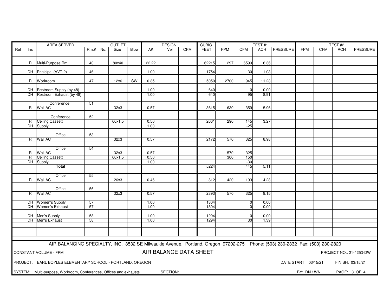|     |     | AREA SERVED                                                                                                                   | <b>OUTLET</b> |  |        |             |       | <b>DESIGN</b>          |            | <b>CUBIC</b> | TEST <sub>#1</sub> |                                   |              |                | TEST#2               |     |                  |                         |
|-----|-----|-------------------------------------------------------------------------------------------------------------------------------|---------------|--|--------|-------------|-------|------------------------|------------|--------------|--------------------|-----------------------------------|--------------|----------------|----------------------|-----|------------------|-------------------------|
| Ref | Ins |                                                                                                                               | $Rm.+No.$     |  | Size   | <b>Blow</b> | AK    | Vel                    | <b>CFM</b> | <b>FEET</b>  | <b>FPM</b>         | <b>CFM</b>                        |              | ACH   PRESSURE | <b>FPM</b>           | CFM | ACH              | PRESSURE                |
|     |     |                                                                                                                               |               |  |        |             |       |                        |            |              |                    |                                   |              |                |                      |     |                  |                         |
|     |     |                                                                                                                               |               |  |        |             |       |                        |            |              |                    |                                   |              |                |                      |     |                  |                         |
|     |     | R Multi-Purpose Rm                                                                                                            | 40            |  | 80x40  |             | 22.22 |                        |            | 62215        | 297                | 6599                              | 6.36         |                |                      |     |                  |                         |
|     |     |                                                                                                                               |               |  |        |             |       |                        |            |              |                    |                                   |              |                |                      |     |                  |                         |
|     |     | DH Prinicipal (VVT-2)                                                                                                         | 46            |  |        |             | 1.00  |                        |            | 1754         |                    | 30                                | 1.03         |                |                      |     |                  |                         |
|     |     |                                                                                                                               |               |  |        |             |       |                        |            |              |                    |                                   |              |                |                      |     |                  |                         |
|     |     | R Workroom                                                                                                                    | 47            |  | 12x6   | <b>SW</b>   | 0.35  |                        |            | 5050         | 2700               | 945                               | 11.23        |                |                      |     |                  |                         |
|     |     |                                                                                                                               |               |  |        |             |       |                        |            |              |                    |                                   |              |                |                      |     |                  |                         |
|     |     | DH Restroom Supply (by 48)                                                                                                    |               |  |        |             | 1.00  |                        |            | 640          |                    | $\overline{0}$                    | 0.00         |                |                      |     |                  |                         |
|     |     | DH Restroom Exhaust (by 48)                                                                                                   |               |  |        |             | 1.00  |                        |            | 640          |                    | 95                                | 8.91         |                |                      |     |                  |                         |
|     |     |                                                                                                                               |               |  |        |             |       |                        |            |              |                    |                                   |              |                |                      |     |                  |                         |
|     |     | Conference                                                                                                                    | 51            |  |        |             |       |                        |            |              |                    |                                   |              |                |                      |     |                  |                         |
|     |     | R Wall AC                                                                                                                     |               |  | 32x3   |             | 0.57  |                        |            | 3615         | 630                | 359                               | 5.96         |                |                      |     |                  |                         |
|     |     |                                                                                                                               |               |  |        |             |       |                        |            |              |                    |                                   |              |                |                      |     |                  |                         |
|     |     | Conference                                                                                                                    | 52            |  |        |             |       |                        |            |              |                    |                                   |              |                |                      |     |                  |                         |
|     |     | R Ceiling Cassett                                                                                                             |               |  | 60x1.5 |             | 0.50  |                        |            | 2661         | 290                | 145                               | 3.27         |                |                      |     |                  |                         |
|     |     | DH Supply                                                                                                                     |               |  |        |             | 1.00  |                        |            |              |                    | $-25$                             |              |                |                      |     |                  |                         |
|     |     |                                                                                                                               |               |  |        |             |       |                        |            |              |                    |                                   |              |                |                      |     |                  |                         |
|     |     | Office                                                                                                                        | 53            |  |        |             |       |                        |            |              |                    |                                   |              |                |                      |     |                  |                         |
|     |     | R Wall AC                                                                                                                     |               |  | 32x3   |             | 0.57  |                        |            | 2172         | 570                | 325                               | 8.98         |                |                      |     |                  |                         |
|     |     |                                                                                                                               |               |  |        |             |       |                        |            |              |                    |                                   |              |                |                      |     |                  |                         |
|     |     | Office                                                                                                                        | 54            |  |        |             |       |                        |            |              |                    |                                   |              |                |                      |     |                  |                         |
|     | R.  | Wall AC                                                                                                                       |               |  | 32x3   |             | 0.57  |                        |            |              | 570                | 325                               |              |                |                      |     |                  |                         |
|     | R   | Ceiling Cassett                                                                                                               |               |  | 60x1.5 |             | 0.50  |                        |            |              | 300                | 150                               |              |                |                      |     |                  |                         |
|     |     | DH Supply                                                                                                                     |               |  |        |             | 1.00  |                        |            |              |                    | $-30$                             |              |                |                      |     |                  |                         |
|     |     | <b>Total</b>                                                                                                                  |               |  |        |             |       |                        |            | 5224         |                    | 445                               | 5.11         |                |                      |     |                  |                         |
|     |     |                                                                                                                               |               |  |        |             |       |                        |            |              |                    |                                   |              |                |                      |     |                  |                         |
|     |     | Office                                                                                                                        | 55            |  |        |             |       |                        |            |              |                    |                                   |              |                |                      |     |                  |                         |
|     |     | R   Wall AC                                                                                                                   |               |  | 26x3   |             | 0.46  |                        |            | 812          | 420                | 193                               | 14.28        |                |                      |     |                  |                         |
|     |     |                                                                                                                               |               |  |        |             |       |                        |            |              |                    |                                   |              |                |                      |     |                  |                         |
|     |     | Office                                                                                                                        | 56            |  |        |             |       |                        |            |              |                    |                                   |              |                |                      |     |                  |                         |
|     |     | R Wall AC                                                                                                                     |               |  | 32x3   |             | 0.57  |                        |            | 2393         | 570                | 325                               | 8.15         |                |                      |     |                  |                         |
|     |     |                                                                                                                               |               |  |        |             |       |                        |            |              |                    |                                   |              |                |                      |     |                  |                         |
|     |     | DH Women's Supply                                                                                                             | 57            |  |        |             | 1.00  |                        |            | 1304         |                    | $\mathbf{0}$                      | 0.00         |                |                      |     |                  |                         |
|     |     | DH Women's Exhaust                                                                                                            | 57            |  |        |             | 1.00  |                        |            | 1304         |                    | $\Omega$                          | 0.00         |                |                      |     |                  |                         |
|     |     |                                                                                                                               | 58            |  |        |             | 1.00  |                        |            | 1294         |                    |                                   |              |                |                      |     |                  |                         |
|     |     | DH Men's Supply<br>DH Men's Exhaust                                                                                           | 58            |  |        |             | 1.00  |                        |            | 1294         |                    | $\overline{0}$<br>30 <sup>°</sup> | 0.00<br>1.39 |                |                      |     |                  |                         |
|     |     |                                                                                                                               |               |  |        |             |       |                        |            |              |                    |                                   |              |                |                      |     |                  |                         |
|     |     |                                                                                                                               |               |  |        |             |       |                        |            |              |                    |                                   |              |                |                      |     |                  |                         |
|     |     |                                                                                                                               |               |  |        |             |       |                        |            |              |                    |                                   |              |                |                      |     |                  |                         |
|     |     |                                                                                                                               |               |  |        |             |       |                        |            |              |                    |                                   |              |                |                      |     |                  |                         |
|     |     |                                                                                                                               |               |  |        |             |       |                        |            |              |                    |                                   |              |                |                      |     |                  |                         |
|     |     | AIR BALANCING SPECIALTY, INC. 3532 SE Milwaukie Avenue, Portland, Oregon 97202-2751 Phone: (503) 230-2332 Fax: (503) 230-2820 |               |  |        |             |       |                        |            |              |                    |                                   |              |                |                      |     |                  |                         |
|     |     |                                                                                                                               |               |  |        |             |       | AIR BALANCE DATA SHEET |            |              |                    |                                   |              |                |                      |     |                  |                         |
|     |     | CONSTANT VOLUME - FPM                                                                                                         |               |  |        |             |       |                        |            |              |                    |                                   |              |                |                      |     |                  | PROJECT NO.: 21-4253-DW |
|     |     |                                                                                                                               |               |  |        |             |       |                        |            |              |                    |                                   |              |                |                      |     |                  |                         |
|     |     | PROJECT: EARL BOYLES ELEMENTARY SCHOOL - PORTLAND, OREGON                                                                     |               |  |        |             |       |                        |            |              |                    |                                   |              |                | DATE START: 03/15/21 |     | FINISH: 03/15/21 |                         |
|     |     |                                                                                                                               |               |  |        |             |       |                        |            |              |                    |                                   |              |                |                      |     |                  |                         |
|     |     | SYSTEM: Multi-purpose, Workroom, Conferences, Offices and exhausts                                                            |               |  |        |             |       | SECTION:               |            |              |                    |                                   |              |                | BY: DN / WN          |     |                  | PAGE: 3 OF 4            |
|     |     |                                                                                                                               |               |  |        |             |       |                        |            |              |                    |                                   |              |                |                      |     |                  |                         |